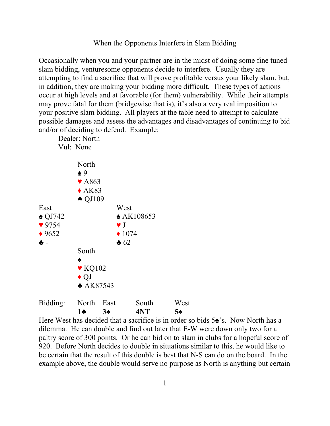When the Opponents Interfere in Slam Bidding

Occasionally when you and your partner are in the midst of doing some fine tuned slam bidding, venturesome opponents decide to interfere. Usually they are attempting to find a sacrifice that will prove profitable versus your likely slam, but, in addition, they are making your bidding more difficult. These types of actions occur at high levels and at favorable (for them) vulnerability. While their attempts may prove fatal for them (bridgewise that is), it's also a very real imposition to your positive slam bidding. All players at the table need to attempt to calculate possible damages and assess the advantages and disadvantages of continuing to bid and/or of deciding to defend. Example:

|                   | Dealer: North                                                                                 |                        |                  |      |
|-------------------|-----------------------------------------------------------------------------------------------|------------------------|------------------|------|
|                   | Vul: None                                                                                     |                        |                  |      |
|                   | North<br>$\spadesuit$ 9<br>$\blacktriangledown$ A863<br>$\triangle$ AK83<br>$\triangle$ QJ109 |                        |                  |      |
| East              |                                                                                               | West                   |                  |      |
| $\triangle$ QJ742 | $\triangle$ AK108653                                                                          |                        |                  |      |
| 9754              |                                                                                               | $\blacktriangledown$ J |                  |      |
| $*9652$           |                                                                                               |                        | $\triangle$ 1074 |      |
| ♣ –               |                                                                                               | $\bullet$ 62           |                  |      |
|                   | South                                                                                         |                        |                  |      |
|                   | ♠                                                                                             |                        |                  |      |
|                   | $\blacktriangledown$ KQ102                                                                    |                        |                  |      |
|                   | $\blacklozenge$ QJ                                                                            |                        |                  |      |
|                   | $*$ AK87543                                                                                   |                        |                  |      |
| Bidding:          | North                                                                                         | East                   | South            | West |
|                   | 1÷                                                                                            | $3\spadesuit$          | 4NT              | 5♠   |

Here West has decided that a sacrifice is in order so bids 5♠'s. Now North has a dilemma. He can double and find out later that E-W were down only two for a paltry score of 300 points. Or he can bid on to slam in clubs for a hopeful score of 920. Before North decides to double in situations similar to this, he would like to be certain that the result of this double is best that N-S can do on the board. In the example above, the double would serve no purpose as North is anything but certain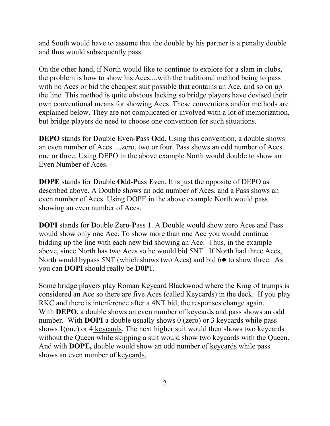and South would have to assume that the double by his partner is a penalty double and thus would subsequently pass.

On the other hand, if North would like to continue to explore for a slam in clubs, the problem is how to show his Aces....with the traditional method being to pass with no Aces or bid the cheapest suit possible that contains an Ace, and so on up the line. This method is quite obvious lacking so bridge players have devised their own conventional means for showing Aces. These conventions and/or methods are explained below. They are not complicated or involved with a lot of memorization, but bridge players do need to choose one convention for such situations.

**DEPO** stands for **D**ouble **E**ven-**P**ass **O**dd. Using this convention, a double shows an even number of Aces ....zero, two or four. Pass shows an odd number of Aces... one or three. Using DEPO in the above example North would double to show an Even Number of Aces.

**DOPE** stands for **D**ouble **O**dd-**P**ass **E**ven. It is just the opposite of DEPO as described above. A Double shows an odd number of Aces, and a Pass shows an even number of Aces. Using DOPE in the above example North would pass showing an even number of Aces.

**DOPI** stands for **D**ouble Zer**o**-**P**ass **1**. A Double would show zero Aces and Pass would show only one Ace. To show more than one Ace you would continue bidding up the line with each new bid showing an Ace. Thus, in the example above, since North has two Aces so he would bid 5NT. If North had three Aces, North would bypass 5NT (which shows two Aces) and bid 6♣ to show three. As you can **DOPI** should really be **D0P**1.

Some bridge players play Roman Keycard Blackwood where the King of trumps is considered an Ace so there are five Aces (called Keycards) in the deck. If you play RKC and there is interference after a 4NT bid, the responses change again. With **DEPO**, a double shows an even number of keycards and pass shows an odd number. With **DOPI** a double usually shows 0 (zero) or 3 keycards while pass shows 1(one) or 4 keycards. The next higher suit would then shows two keycards without the Queen while skipping a suit would show two keycards with the Queen. And with **DOPE,** double would show an odd number of keycards while pass shows an even number of keycards.